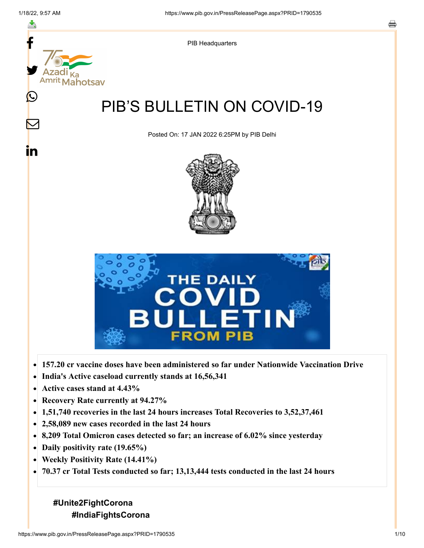

- $\bullet$ **India's Active caseload currently stands at 16,56,341**
- **Active cases stand at 4.43%**  $\bullet$
- **Recovery Rate currently at 94.27%**  $\bullet$
- **1,51,740 recoveries in the last 24 hours increases Total Recoveries to 3,52,37,461**  $\bullet$
- **2,58,089 new cases recorded in the last 24 hours**
- **8,209 Total Omicron cases detected so far; an increase of 6.02% since yesterday**
- **Daily positivity rate (19.65%)**
- **Weekly Positivity Rate (14.41%)**  $\bullet$
- $\bullet$ **70.37 cr Total Tests conducted so far; 13,13,444 tests conducted in the last 24 hours**

# **#Unite2FightCorona #IndiaFightsCorona**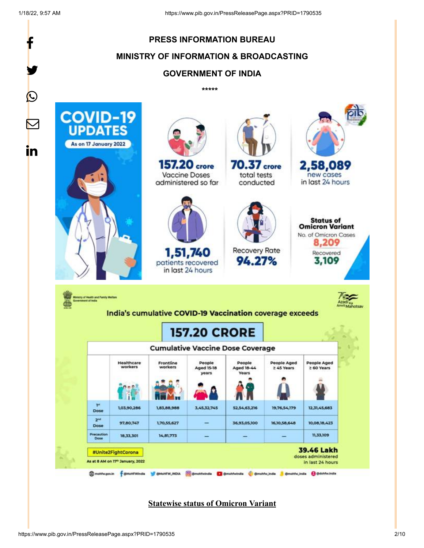|                                                            | <b>PRESS INFORMATION BUREAU</b>                                                       |                                      |                                                    |                                                          |                                                                                            |                                                                                                   |  |
|------------------------------------------------------------|---------------------------------------------------------------------------------------|--------------------------------------|----------------------------------------------------|----------------------------------------------------------|--------------------------------------------------------------------------------------------|---------------------------------------------------------------------------------------------------|--|
|                                                            | <b>MINISTRY OF INFORMATION &amp; BROADCASTING</b>                                     |                                      |                                                    |                                                          |                                                                                            |                                                                                                   |  |
|                                                            |                                                                                       |                                      | <b>GOVERNMENT OF INDIA</b>                         |                                                          |                                                                                            |                                                                                                   |  |
|                                                            |                                                                                       |                                      | *****                                              |                                                          |                                                                                            |                                                                                                   |  |
| <b>COVID-19</b><br><b>UPDATES</b><br>As on 17 January 2022 |                                                                                       |                                      |                                                    |                                                          |                                                                                            |                                                                                                   |  |
|                                                            |                                                                                       | 157.20 crore<br><b>Vaccine Doses</b> | administered so far                                | 70.37 crore<br>total tests<br>conducted                  |                                                                                            | 2,58,089<br>new cases<br>in last 24 hours                                                         |  |
|                                                            |                                                                                       |                                      | 1,51,740<br>patients recovered<br>in last 24 hours | <b>Recovery Rate</b><br>94.27%                           |                                                                                            | <b>Status of</b><br><b>Omicron Variant</b><br>No. of Omicron Cases<br>8,209<br>Recovered<br>3,109 |  |
| nistry of Health and Family Welfare<br>ment of indi-       |                                                                                       |                                      | <b>157.20 CRORE</b>                                | India's cumulative COVID-19 Vaccination coverage exceeds |                                                                                            |                                                                                                   |  |
|                                                            |                                                                                       |                                      |                                                    | <b>Cumulative Vaccine Dose Coverage</b>                  |                                                                                            |                                                                                                   |  |
|                                                            | Healthcare<br>workers                                                                 | Frontline<br>workers                 | People<br><b>Aged 15-18</b>                        | People<br>Aged 18-44                                     | <b>People Aged</b><br>≥ 45 Years                                                           | People Aged<br>≥ 60 Years                                                                         |  |
|                                                            |                                                                                       |                                      | years.                                             | <b>Years</b>                                             |                                                                                            |                                                                                                   |  |
| T <sup>st</sup><br>Dose                                    | 1,03,90,286                                                                           | 1,83,88,988                          | 3,45,32,745                                        | 52,54,63,216                                             | 19,76,54,179                                                                               | 12.31.45.683                                                                                      |  |
| 2 <sup>nd</sup><br>Dose                                    | 97,80,747                                                                             | 1,70,55,627                          |                                                    | 36,93,05,100                                             | 16,10,58,648                                                                               | 10,08,18,423                                                                                      |  |
| Precaution<br>Dose                                         | 18,33,301                                                                             | 14,81,773                            |                                                    |                                                          |                                                                                            | 11,33,109                                                                                         |  |
|                                                            | #Unite2FightCorona<br>As at 8 AM on 17th January, 2022<br>matrix.gov.in + @MoNFWindia |                                      |                                                    |                                                          | S BMoHEW_INDUA C B mohlwindla C B Bmohlwindla C Bmohlw_indla C Bmohlw_indla C Bdohlw.indla | <b>39.46 Lakh</b><br>doses administered<br>in last 24 hours                                       |  |

**Statewise status of Omicron Variant**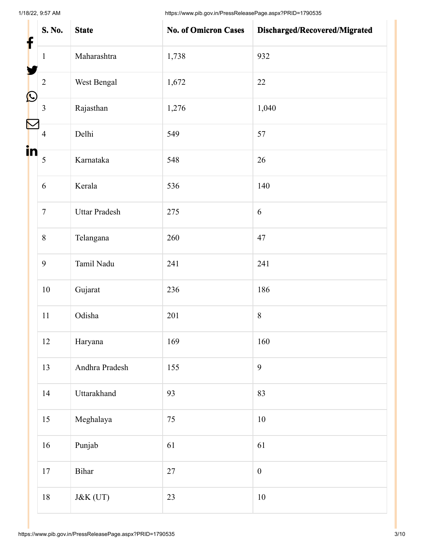1/18/22, 9:57 AM https://www.pib.gov.in/PressReleasePage.aspx?PRID=1790535

| f          | S. No.         | <b>State</b>         | <b>No. of Omicron Cases</b> | Discharged/Recovered/Migrated |
|------------|----------------|----------------------|-----------------------------|-------------------------------|
|            | $\mathbf{1}$   | Maharashtra          | 1,738                       | 932                           |
|            | $\overline{2}$ | West Bengal          | 1,672                       | 22                            |
| $\bigcirc$ | 3              | Rajasthan            | 1,276                       | 1,040                         |
|            | $\overline{4}$ | Delhi                | 549                         | 57                            |
| in         | 5              | Karnataka            | 548                         | 26                            |
|            | 6              | Kerala               | 536                         | 140                           |
|            | $\overline{7}$ | <b>Uttar Pradesh</b> | 275                         | 6                             |
|            | $\,8\,$        | Telangana            | 260                         | 47                            |
|            | 9              | Tamil Nadu           | 241                         | 241                           |
|            | $10\,$         | Gujarat              | 236                         | 186                           |
|            | 11             | Odisha               | 201                         | $\,8\,$                       |
|            | 12             | Haryana              | 169                         | 160                           |
|            | 13             | Andhra Pradesh       | 155                         | 9                             |
|            | 14             | Uttarakhand          | 93                          | 83                            |
|            | 15             | Meghalaya            | 75                          | 10                            |
|            | 16             | Punjab               | 61                          | 61                            |
|            | 17             | Bihar                | 27                          | $\boldsymbol{0}$              |
|            | 18             | J&K (UT)             | 23                          | $10\,$                        |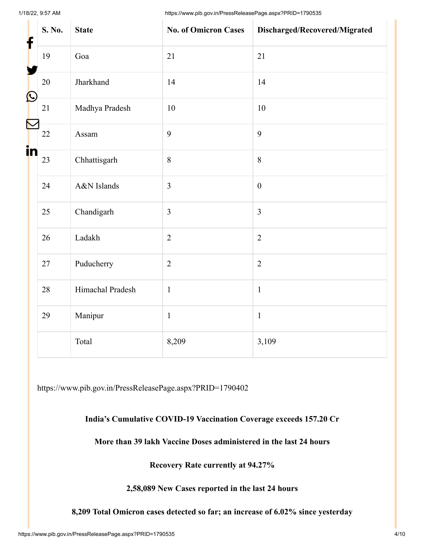1/18/22, 9:57 AM https://www.pib.gov.in/PressReleasePage.aspx?PRID=1790535

| f          | S. No. | <b>State</b>     | <b>No. of Omicron Cases</b> | Discharged/Recovered/Migrated |
|------------|--------|------------------|-----------------------------|-------------------------------|
|            | 19     | Goa              | 21                          | 21                            |
| $\bigcirc$ | 20     | Jharkhand        | 14                          | 14                            |
|            | 21     | Madhya Pradesh   | 10                          | 10                            |
|            | 22     | Assam            | 9                           | 9                             |
| in         | 23     | Chhattisgarh     | $\,8\,$                     | $\,8\,$                       |
|            | 24     | A&N Islands      | $\overline{3}$              | $\boldsymbol{0}$              |
|            | 25     | Chandigarh       | $\mathfrak{Z}$              | $\mathfrak{Z}$                |
|            | 26     | Ladakh           | $\overline{2}$              | $\overline{2}$                |
|            | $27\,$ | Puducherry       | $\sqrt{2}$                  | $\overline{2}$                |
|            | 28     | Himachal Pradesh | $\mathbf{1}$                | $\mathbf{1}$                  |
|            | 29     | Manipur          | $\mathbf{1}$                | $\mathbf{1}$                  |
|            |        | Total            | 8,209                       | 3,109                         |

<https://www.pib.gov.in/PressReleasePage.aspx?PRID=1790402>

### **India's Cumulative COVID-19 Vaccination Coverage exceeds 157.20 Cr**

## **More than 39 lakh Vaccine Doses administered in the last 24 hours**

**Recovery Rate currently at 94.27%**

**2,58,089 New Cases reported in the last 24 hours**

**8,209 Total Omicron cases detected so far; an increase of 6.02% since yesterday**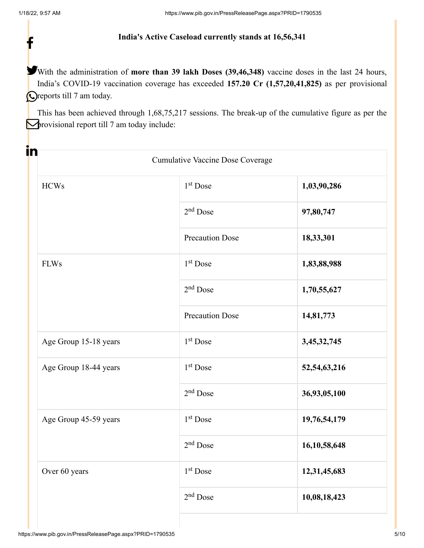f

#### **India's Active Caseload currently stands at 16,56,341**

With the administration of **more than 39 lakh Doses (39,46,348)** vaccine doses in the last 24 hours, India's COVID-19 vaccination coverage has exceeded **157.20 Cr (1,57,20,41,825)** as per provisional **O**reports till 7 am today.

This has been achieved through 1,68,75,217 sessions. The break-up of the cumulative figure as per the **P**rovisional report till 7 am today include:

|                       | <b>Cumulative Vaccine Dose Coverage</b> |                 |
|-----------------------|-----------------------------------------|-----------------|
| <b>HCWs</b>           | $1st$ Dose                              | 1,03,90,286     |
|                       | $2nd$ Dose                              | 97,80,747       |
|                       | <b>Precaution Dose</b>                  | 18,33,301       |
| <b>FLWs</b>           | 1 <sup>st</sup> Dose                    | 1,83,88,988     |
|                       | $2nd$ Dose                              | 1,70,55,627     |
|                       | <b>Precaution Dose</b>                  | 14,81,773       |
| Age Group 15-18 years | $1st$ Dose                              | 3,45,32,745     |
| Age Group 18-44 years | $1st$ Dose                              | 52, 54, 63, 216 |
|                       | $2nd$ Dose                              | 36,93,05,100    |
| Age Group 45-59 years | $1st$ Dose                              | 19,76,54,179    |
|                       | $2nd$ Dose                              | 16, 10, 58, 648 |
| Over 60 years         | $1st$ Dose                              | 12,31,45,683    |
|                       | $2^{\rm nd}$ Dose                       | 10,08,18,423    |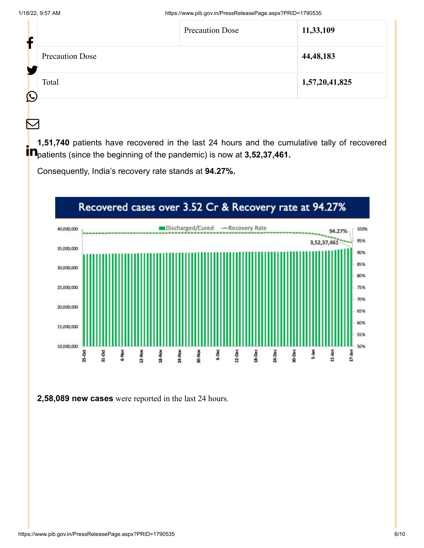$\bm{\nabla}$ 

| f          |                        | <b>Precaution Dose</b> | 11,33,109      |
|------------|------------------------|------------------------|----------------|
| ┺          | <b>Precaution Dose</b> |                        | 44, 48, 183    |
| $\bigcirc$ | Total                  |                        | 1,57,20,41,825 |

**1,51,740** patients have recovered in the last 24 hours and the cumulative tally of recovered **in 1,01,140** patients have received in the lact 21 heard and the can-

Consequently, India's recovery rate stands at **94.27%.**



**2,58,089 new cases** were reported in the last 24 hours.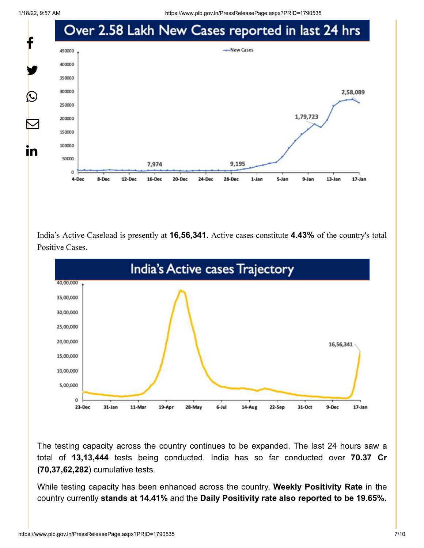1/18/22, 9:57 AM https://www.pib.gov.in/PressReleasePage.aspx?PRID=1790535



India's Active Caseload is presently at **16,56,341.** Active cases constitute **4.43%** of the country's total Positive Cases**.**



The testing capacity across the country continues to be expanded. The last 24 hours saw a total of **13,13,444** tests being conducted. India has so far conducted over **70.37 Cr (70,37,62,282**) cumulative tests.

While testing capacity has been enhanced across the country, **Weekly Positivity Rate** in the country currently **stands at 14.41%** and the **Daily Positivity rate also reported to be 19.65%.**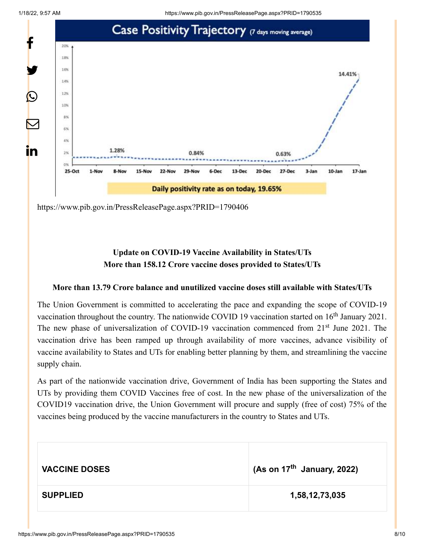

<https://www.pib.gov.in/PressReleasePage.aspx?PRID=1790406>

## **Update on COVID-19 Vaccine Availability in States/UTs More than 158.12 Crore vaccine doses provided to States/UTs**

#### **More than 13.79 Crore balance and unutilized vaccine doses still available with States/UTs**

The Union Government is committed to accelerating the pace and expanding the scope of COVID-19 vaccination throughout the country. The nationwide COVID 19 vaccination started on  $16<sup>th</sup>$  January 2021. The new phase of universalization of COVID-19 vaccination commenced from 21<sup>st</sup> June 2021. The vaccination drive has been ramped up through availability of more vaccines, advance visibility of vaccine availability to States and UTs for enabling better planning by them, and streamlining the vaccine supply chain.

As part of the nationwide vaccination drive, Government of India has been supporting the States and UTs by providing them COVID Vaccines free of cost. In the new phase of the universalization of the COVID19 vaccination drive, the Union Government will procure and supply (free of cost) 75% of the vaccines being produced by the vaccine manufacturers in the country to States and UTs.

| <b>VACCINE DOSES</b> | (As on 17 <sup>th</sup> January, 2022) |
|----------------------|----------------------------------------|
| <b>SUPPLIED</b>      | 1,58,12,73,035                         |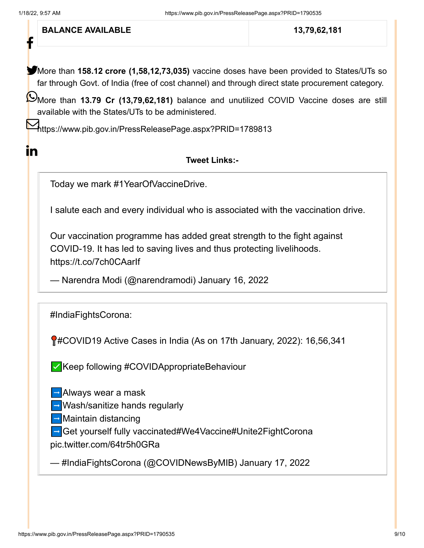f

 $\mathbf{in}$ 

**BALANCE AVAILABLE** 13,79,62,181

More than **158.12 crore (1,58,12,73,035)** vaccine doses have been provided to States/UTs so far through Govt. of India (free of cost channel) and through direct state procurement category.

More than **13.79 Cr (13,79,62,181)** balance and unutilized COVID Vaccine doses are still available with the States/UTs to be administered.

<https://www.pib.gov.in/PressReleasePage.aspx?PRID=1789813>

### **Tweet Links:-**

Today we mark [#1YearOfVaccineDrive.](https://twitter.com/hashtag/1YearOfVaccineDrive?src=hash&ref_src=twsrc%5Etfw)

I salute each and every individual who is associated with the vaccination drive.

Our vaccination programme has added great strength to the fight against COVID-19. It has led to saving lives and thus protecting livelihoods. <https://t.co/7ch0CAarIf>

— Narendra Modi (@narendramodi) [January 16, 2022](https://twitter.com/narendramodi/status/1482596443709788164?ref_src=twsrc%5Etfw)

[#IndiaFightsCorona](https://twitter.com/hashtag/IndiaFightsCorona?src=hash&ref_src=twsrc%5Etfw):

**M**[#COVID19](https://twitter.com/hashtag/COVID19?src=hash&ref_src=twsrc%5Etfw) Active Cases in India (As on 17th January, 2022): 16,56,341

✅Keep following [#COVIDAppropriateBehaviour](https://twitter.com/hashtag/COVIDAppropriateBehaviour?src=hash&ref_src=twsrc%5Etfw)

➡️Always wear a mask

➡️Wash/sanitize hands regularly

➡️Maintain distancing

➡️Get yourself fully vaccinated[#We4Vaccine](https://twitter.com/hashtag/We4Vaccine?src=hash&ref_src=twsrc%5Etfw)[#Unite2FightCorona](https://twitter.com/hashtag/Unite2FightCorona?src=hash&ref_src=twsrc%5Etfw)

[pic.twitter.com/64tr5h0GRa](https://t.co/64tr5h0GRa)

— #IndiaFightsCorona (@COVIDNewsByMIB) [January 17, 2022](https://twitter.com/COVIDNewsByMIB/status/1482968073137422336?ref_src=twsrc%5Etfw)